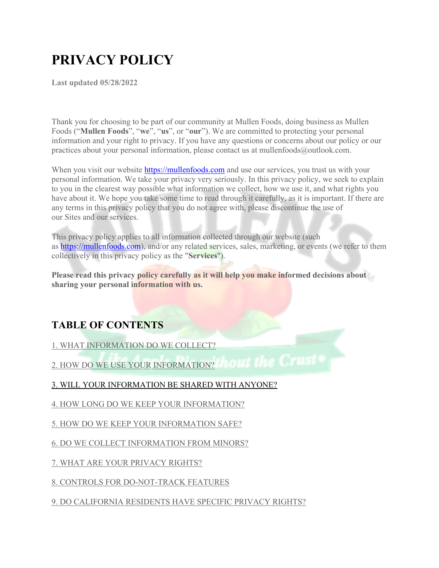# PRIVACY POLICY

Last updated 05/28/2022

Thank you for choosing to be part of our community at Mullen Foods, doing business as Mullen Foods ("Mullen Foods", "we", "us", or "our"). We are committed to protecting your personal information and your right to privacy. If you have any questions or concerns about our policy or our practices about your personal information, please contact us at mullenfoods $@$ outlook.com.

When you visit our website https://mullenfoods.com and use our services, you trust us with your personal information. We take your privacy very seriously. In this privacy policy, we seek to explain to you in the clearest way possible what information we collect, how we use it, and what rights you have about it. We hope you take some time to read through it carefully, as it is important. If there are any terms in this privacy policy that you do not agree with, please discontinue the use of our Sites and our services.

This privacy policy applies to all information collected through our website (such as https://mullenfoods.com), and/or any related services, sales, marketing, or events (we refer to them collectively in this privacy policy as the "Services").

Please read this privacy policy carefully as it will help you make informed decisions about sharing your personal information with us.

### TABLE OF CONTENTS

1. WHAT INFORMATION DO WE COLLECT?

2. HOW DO WE USE YOUR INFORMATION?

#### 3. WILL YOUR INFORMATION BE SHARED WITH ANYONE?

- 4. HOW LONG DO WE KEEP YOUR INFORMATION?
- 5. HOW DO WE KEEP YOUR INFORMATION SAFE?
- 6. DO WE COLLECT INFORMATION FROM MINORS?
- 7. WHAT ARE YOUR PRIVACY RIGHTS?
- 8. CONTROLS FOR DO-NOT-TRACK FEATURES
- 9. DO CALIFORNIA RESIDENTS HAVE SPECIFIC PRIVACY RIGHTS?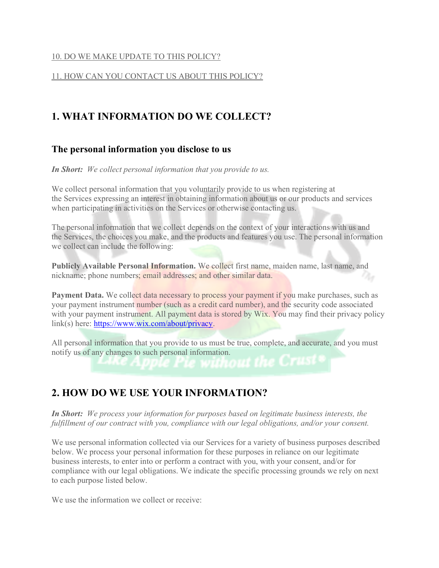#### 10. DO WE MAKE UPDATE TO THIS POLICY?

#### 11. HOW CAN YOU CONTACT US ABOUT THIS POLICY?

#### 1. WHAT INFORMATION DO WE COLLECT?

#### The personal information you disclose to us

In Short: We collect personal information that you provide to us.

We collect personal information that you voluntarily provide to us when registering at the Services expressing an interest in obtaining information about us or our products and services when participating in activities on the Services or otherwise contacting us.

The personal information that we collect depends on the context of your interactions with us and the Services, the choices you make, and the products and features you use. The personal information we collect can include the following:

Publicly Available Personal Information. We collect first name, maiden name, last name, and nickname; phone numbers; email addresses; and other similar data.

Payment Data. We collect data necessary to process your payment if you make purchases, such as your payment instrument number (such as a credit card number), and the security code associated with your payment instrument. All payment data is stored by Wix. You may find their privacy policy link(s) here: https://www.wix.com/about/privacy.

All personal information that you provide to us must be true, complete, and accurate, and you must notify us of any changes to such personal information.

### 2. HOW DO WE USE YOUR INFORMATION?

In Short: We process your information for purposes based on legitimate business interests, the fulfillment of our contract with you, compliance with our legal obligations, and/or your consent.

We use personal information collected via our Services for a variety of business purposes described below. We process your personal information for these purposes in reliance on our legitimate business interests, to enter into or perform a contract with you, with your consent, and/or for compliance with our legal obligations. We indicate the specific processing grounds we rely on next to each purpose listed below.

We use the information we collect or receive: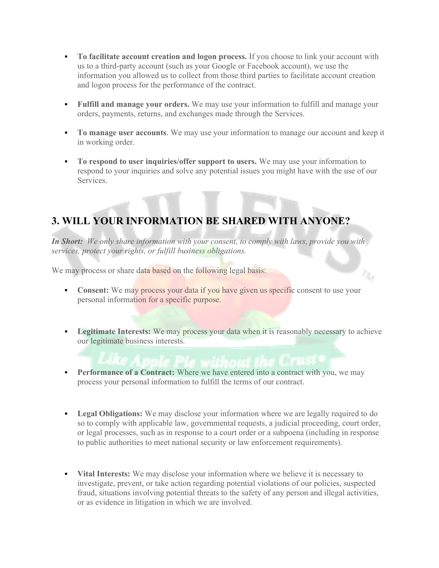- To facilitate account creation and logon process. If you choose to link your account with us to a third-party account (such as your Google or Facebook account), we use the information you allowed us to collect from those third parties to facilitate account creation and logon process for the performance of the contract.
- Fulfill and manage your orders. We may use your information to fulfill and manage your orders, payments, returns, and exchanges made through the Services.
- To manage user accounts. We may use your information to manage our account and keep it in working order.
- To respond to user inquiries/offer support to users. We may use your information to respond to your inquiries and solve any potential issues you might have with the use of our Services.

#### 3. WILL YOUR INFORMATION BE SHARED WITH ANYONE?

In Short: We only share information with your consent, to comply with laws, provide you with services, protect your rights, or fulfill business obligations.

We may process or share data based on the following legal basis:

- Consent: We may process your data if you have given us specific consent to use your personal information for a specific purpose.
- Legitimate Interests: We may process your data when it is reasonably necessary to achieve our legitimate business interests.
- Performance of a Contract: Where we have entered into a contract with you, we may process your personal information to fulfill the terms of our contract.
- Legal Obligations: We may disclose your information where we are legally required to do so to comply with applicable law, governmental requests, a judicial proceeding, court order, or legal processes, such as in response to a court order or a subpoena (including in response to public authorities to meet national security or law enforcement requirements).
- Vital Interests: We may disclose your information where we believe it is necessary to investigate, prevent, or take action regarding potential violations of our policies, suspected fraud, situations involving potential threats to the safety of any person and illegal activities, or as evidence in litigation in which we are involved.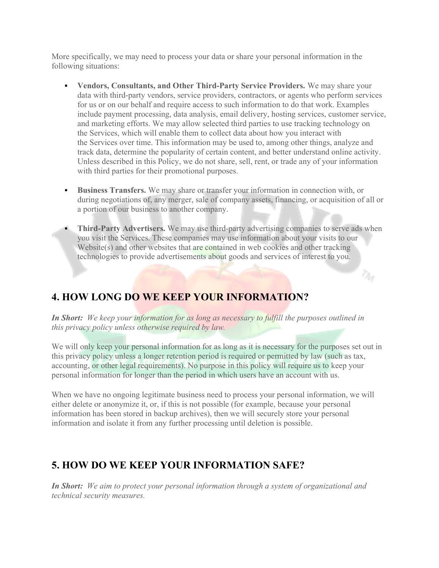More specifically, we may need to process your data or share your personal information in the following situations:

- Vendors, Consultants, and Other Third-Party Service Providers. We may share your data with third-party vendors, service providers, contractors, or agents who perform services for us or on our behalf and require access to such information to do that work. Examples include payment processing, data analysis, email delivery, hosting services, customer service, and marketing efforts. We may allow selected third parties to use tracking technology on the Services, which will enable them to collect data about how you interact with the Services over time. This information may be used to, among other things, analyze and track data, determine the popularity of certain content, and better understand online activity. Unless described in this Policy, we do not share, sell, rent, or trade any of your information with third parties for their promotional purposes.
- Business Transfers. We may share or transfer your information in connection with, or during negotiations of, any merger, sale of company assets, financing, or acquisition of all or a portion of our business to another company.
- Third-Party Advertisers. We may use third-party advertising companies to serve ads when you visit the Services. These companies may use information about your visits to our Website(s) and other websites that are contained in web cookies and other tracking technologies to provide advertisements about goods and services of interest to you.

みゅ

### 4. HOW LONG DO WE KEEP YOUR INFORMATION?

In Short: We keep your information for as long as necessary to fulfill the purposes outlined in this privacy policy unless otherwise required by law.

We will only keep your personal information for as long as it is necessary for the purposes set out in this privacy policy unless a longer retention period is required or permitted by law (such as tax, accounting, or other legal requirements). No purpose in this policy will require us to keep your personal information for longer than the period in which users have an account with us.

When we have no ongoing legitimate business need to process your personal information, we will either delete or anonymize it, or, if this is not possible (for example, because your personal information has been stored in backup archives), then we will securely store your personal information and isolate it from any further processing until deletion is possible.

### 5. HOW DO WE KEEP YOUR INFORMATION SAFE?

In Short: We aim to protect your personal information through a system of organizational and technical security measures.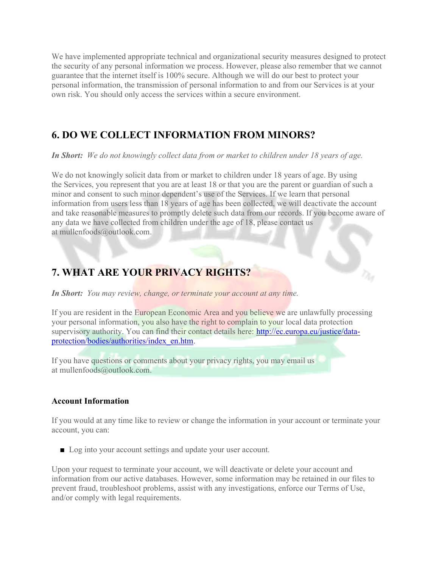We have implemented appropriate technical and organizational security measures designed to protect the security of any personal information we process. However, please also remember that we cannot guarantee that the internet itself is 100% secure. Although we will do our best to protect your personal information, the transmission of personal information to and from our Services is at your own risk. You should only access the services within a secure environment.

## 6. DO WE COLLECT INFORMATION FROM MINORS?

In Short: We do not knowingly collect data from or market to children under 18 years of age.

We do not knowingly solicit data from or market to children under 18 years of age. By using the Services, you represent that you are at least 18 or that you are the parent or guardian of such a minor and consent to such minor dependent's use of the Services. If we learn that personal information from users less than 18 years of age has been collected, we will deactivate the account and take reasonable measures to promptly delete such data from our records. If you become aware of any data we have collected from children under the age of 18, please contact us at mullenfoods@outlook.com.

### 7. WHAT ARE YOUR PRIVACY RIGHTS?

In Short: You may review, change, or terminate your account at any time.

If you are resident in the European Economic Area and you believe we are unlawfully processing your personal information, you also have the right to complain to your local data protection supervisory authority. You can find their contact details here: http://ec.europa.eu/justice/dataprotection/bodies/authorities/index\_en.htm.

If you have questions or comments about your privacy rights, you may email us at mullenfoods@outlook.com.

#### Account Information

If you would at any time like to review or change the information in your account or terminate your account, you can:

■ Log into your account settings and update your user account.

Upon your request to terminate your account, we will deactivate or delete your account and information from our active databases. However, some information may be retained in our files to prevent fraud, troubleshoot problems, assist with any investigations, enforce our Terms of Use, and/or comply with legal requirements.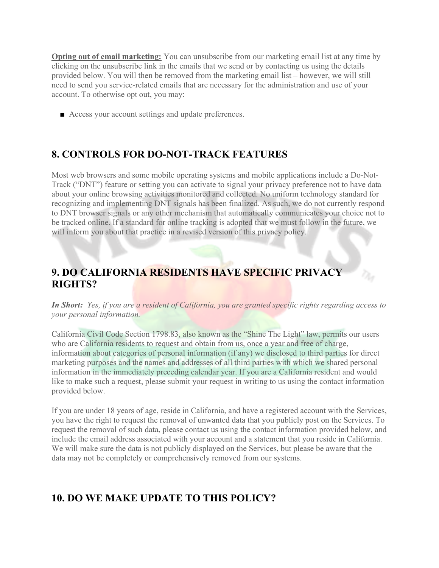Opting out of email marketing: You can unsubscribe from our marketing email list at any time by clicking on the unsubscribe link in the emails that we send or by contacting us using the details provided below. You will then be removed from the marketing email list – however, we will still need to send you service-related emails that are necessary for the administration and use of your account. To otherwise opt out, you may:

■ Access your account settings and update preferences.

#### 8. CONTROLS FOR DO-NOT-TRACK FEATURES

Most web browsers and some mobile operating systems and mobile applications include a Do-Not-Track ("DNT") feature or setting you can activate to signal your privacy preference not to have data about your online browsing activities monitored and collected. No uniform technology standard for recognizing and implementing DNT signals has been finalized. As such, we do not currently respond to DNT browser signals or any other mechanism that automatically communicates your choice not to be tracked online. If a standard for online tracking is adopted that we must follow in the future, we will inform you about that practice in a revised version of this privacy policy.

#### 9. DO CALIFORNIA RESIDENTS HAVE SPECIFIC PRIVACY RIGHTS?

In Short: Yes, if you are a resident of California, you are granted specific rights regarding access to your personal information.

California Civil Code Section 1798.83, also known as the "Shine The Light" law, permits our users who are California residents to request and obtain from us, once a year and free of charge, information about categories of personal information (if any) we disclosed to third parties for direct marketing purposes and the names and addresses of all third parties with which we shared personal information in the immediately preceding calendar year. If you are a California resident and would like to make such a request, please submit your request in writing to us using the contact information provided below.

If you are under 18 years of age, reside in California, and have a registered account with the Services, you have the right to request the removal of unwanted data that you publicly post on the Services. To request the removal of such data, please contact us using the contact information provided below, and include the email address associated with your account and a statement that you reside in California. We will make sure the data is not publicly displayed on the Services, but please be aware that the data may not be completely or comprehensively removed from our systems.

# 10. DO WE MAKE UPDATE TO THIS POLICY?